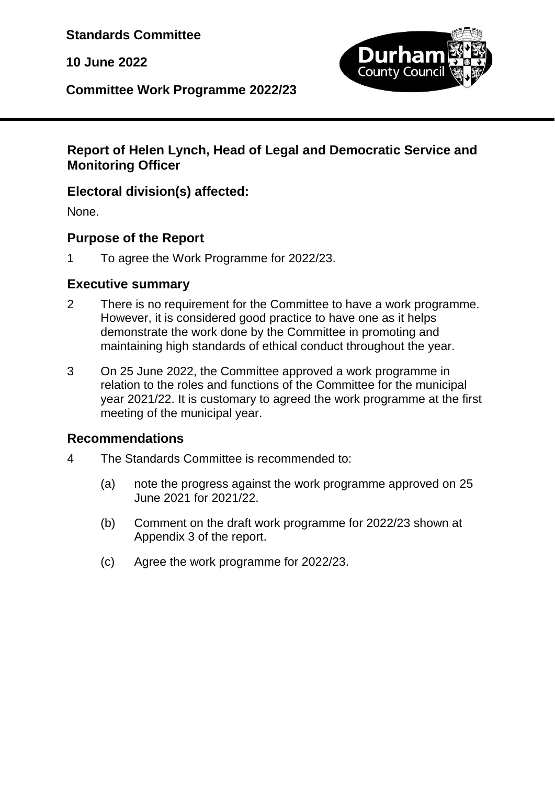**Standards Committee**

**10 June 2022**



**Committee Work Programme 2022/23**

## **Report of Helen Lynch, Head of Legal and Democratic Service and Monitoring Officer**

## **Electoral division(s) affected:**

None.

## **Purpose of the Report**

1 To agree the Work Programme for 2022/23.

## **Executive summary**

- 2 There is no requirement for the Committee to have a work programme. However, it is considered good practice to have one as it helps demonstrate the work done by the Committee in promoting and maintaining high standards of ethical conduct throughout the year.
- 3 On 25 June 2022, the Committee approved a work programme in relation to the roles and functions of the Committee for the municipal year 2021/22. It is customary to agreed the work programme at the first meeting of the municipal year.

## **Recommendations**

- 4 The Standards Committee is recommended to:
	- (a) note the progress against the work programme approved on 25 June 2021 for 2021/22.
	- (b) Comment on the draft work programme for 2022/23 shown at Appendix 3 of the report.
	- (c) Agree the work programme for 2022/23.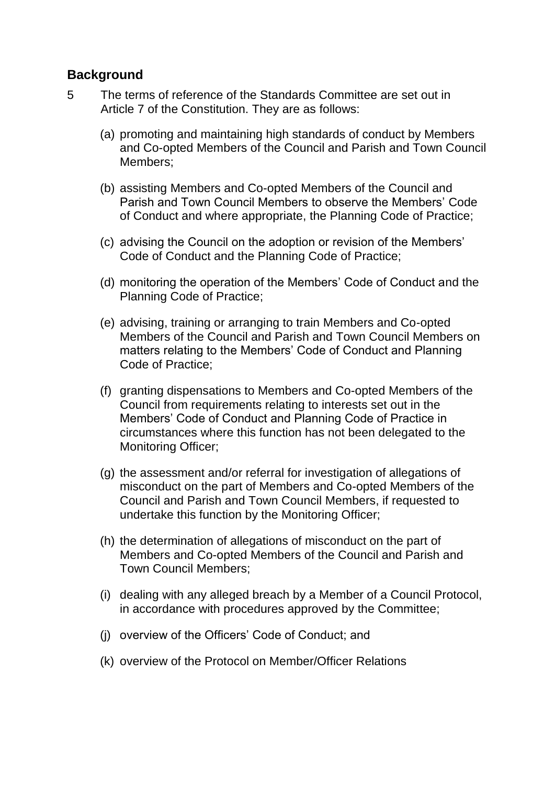#### **Background**

- 5 The terms of reference of the Standards Committee are set out in Article 7 of the Constitution. They are as follows:
	- (a) promoting and maintaining high standards of conduct by Members and Co-opted Members of the Council and Parish and Town Council Members;
	- (b) assisting Members and Co-opted Members of the Council and Parish and Town Council Members to observe the Members' Code of Conduct and where appropriate, the Planning Code of Practice;
	- (c) advising the Council on the adoption or revision of the Members' Code of Conduct and the Planning Code of Practice;
	- (d) monitoring the operation of the Members' Code of Conduct and the Planning Code of Practice;
	- (e) advising, training or arranging to train Members and Co-opted Members of the Council and Parish and Town Council Members on matters relating to the Members' Code of Conduct and Planning Code of Practice;
	- (f) granting dispensations to Members and Co-opted Members of the Council from requirements relating to interests set out in the Members' Code of Conduct and Planning Code of Practice in circumstances where this function has not been delegated to the Monitoring Officer;
	- (g) the assessment and/or referral for investigation of allegations of misconduct on the part of Members and Co-opted Members of the Council and Parish and Town Council Members, if requested to undertake this function by the Monitoring Officer;
	- (h) the determination of allegations of misconduct on the part of Members and Co-opted Members of the Council and Parish and Town Council Members;
	- (i) dealing with any alleged breach by a Member of a Council Protocol, in accordance with procedures approved by the Committee;
	- (j) overview of the Officers' Code of Conduct; and
	- (k) overview of the Protocol on Member/Officer Relations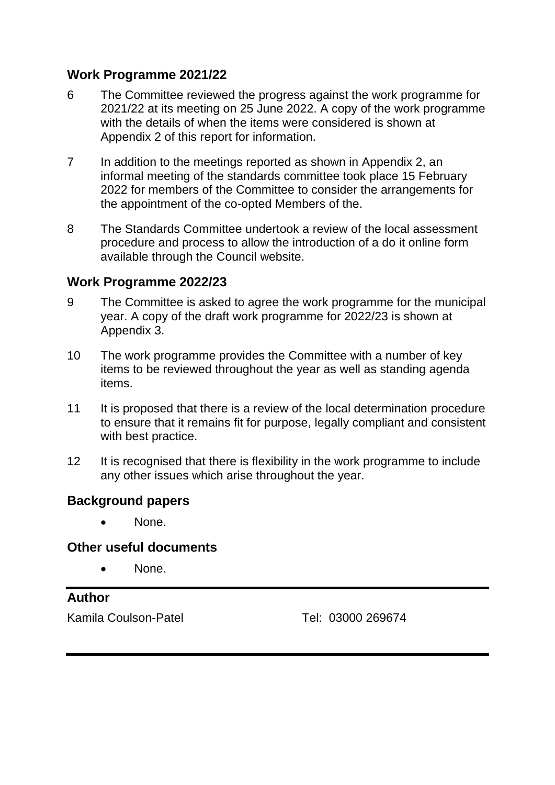#### **Work Programme 2021/22**

- 6 The Committee reviewed the progress against the work programme for 2021/22 at its meeting on 25 June 2022. A copy of the work programme with the details of when the items were considered is shown at Appendix 2 of this report for information.
- 7 In addition to the meetings reported as shown in Appendix 2, an informal meeting of the standards committee took place 15 February 2022 for members of the Committee to consider the arrangements for the appointment of the co-opted Members of the.
- 8 The Standards Committee undertook a review of the local assessment procedure and process to allow the introduction of a do it online form available through the Council website.

#### **Work Programme 2022/23**

- 9 The Committee is asked to agree the work programme for the municipal year. A copy of the draft work programme for 2022/23 is shown at Appendix 3.
- 10 The work programme provides the Committee with a number of key items to be reviewed throughout the year as well as standing agenda items.
- 11 It is proposed that there is a review of the local determination procedure to ensure that it remains fit for purpose, legally compliant and consistent with best practice.
- 12 It is recognised that there is flexibility in the work programme to include any other issues which arise throughout the year.

#### **Background papers**

• None.

#### **Other useful documents**

None.

## **Author**

Kamila Coulson-Patel Tel: 03000 269674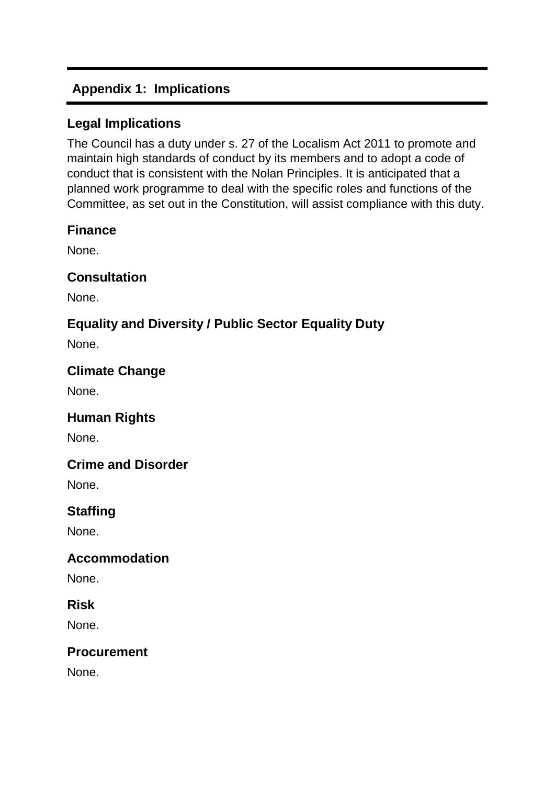# **Appendix 1: Implications**

## **Legal Implications**

The Council has a duty under s. 27 of the Localism Act 2011 to promote and maintain high standards of conduct by its members and to adopt a code of conduct that is consistent with the Nolan Principles. It is anticipated that a planned work programme to deal with the specific roles and functions of the Committee, as set out in the Constitution, will assist compliance with this duty.

#### **Finance**

None.

## **Consultation**

None.

# **Equality and Diversity / Public Sector Equality Duty**

None.

## **Climate Change**

None.

## **Human Rights**

None.

## **Crime and Disorder**

None.

# **Staffing**

None.

## **Accommodation**

None.

#### **Risk**

None.

#### **Procurement**

None.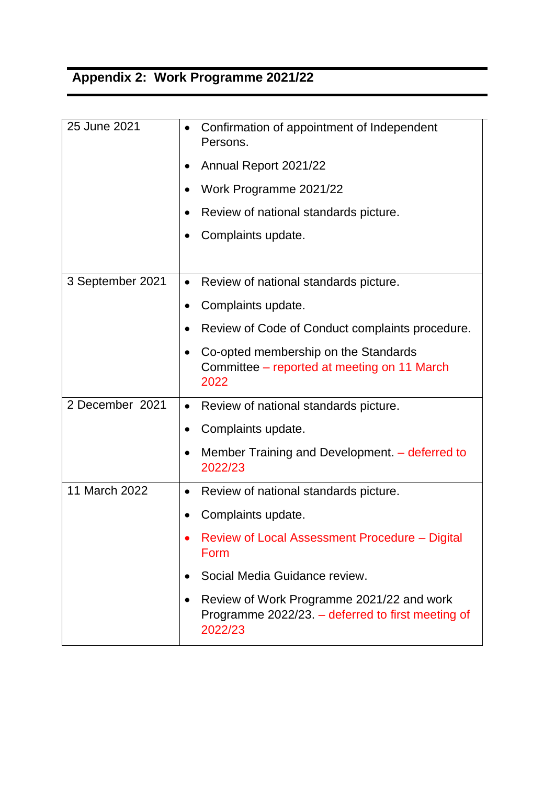# **Appendix 2: Work Programme 2021/22**

| 25 June 2021     | Confirmation of appointment of Independent<br>$\bullet$<br>Persons.                                                    |
|------------------|------------------------------------------------------------------------------------------------------------------------|
|                  | Annual Report 2021/22                                                                                                  |
|                  | Work Programme 2021/22                                                                                                 |
|                  | Review of national standards picture.<br>$\bullet$                                                                     |
|                  | Complaints update.                                                                                                     |
|                  |                                                                                                                        |
| 3 September 2021 | Review of national standards picture.<br>$\bullet$                                                                     |
|                  | Complaints update.                                                                                                     |
|                  | Review of Code of Conduct complaints procedure.<br>$\bullet$                                                           |
|                  | Co-opted membership on the Standards<br>$\bullet$<br>Committee – reported at meeting on 11 March<br>2022               |
| 2 December 2021  | Review of national standards picture.<br>$\bullet$                                                                     |
|                  | Complaints update.<br>$\bullet$                                                                                        |
|                  | Member Training and Development. – deferred to<br>$\bullet$<br>2022/23                                                 |
| 11 March 2022    | Review of national standards picture.<br>$\bullet$                                                                     |
|                  | Complaints update.                                                                                                     |
|                  | Review of Local Assessment Procedure – Digital<br>Form                                                                 |
|                  | Social Media Guidance review.                                                                                          |
|                  | Review of Work Programme 2021/22 and work<br>$\bullet$<br>Programme 2022/23. – deferred to first meeting of<br>2022/23 |